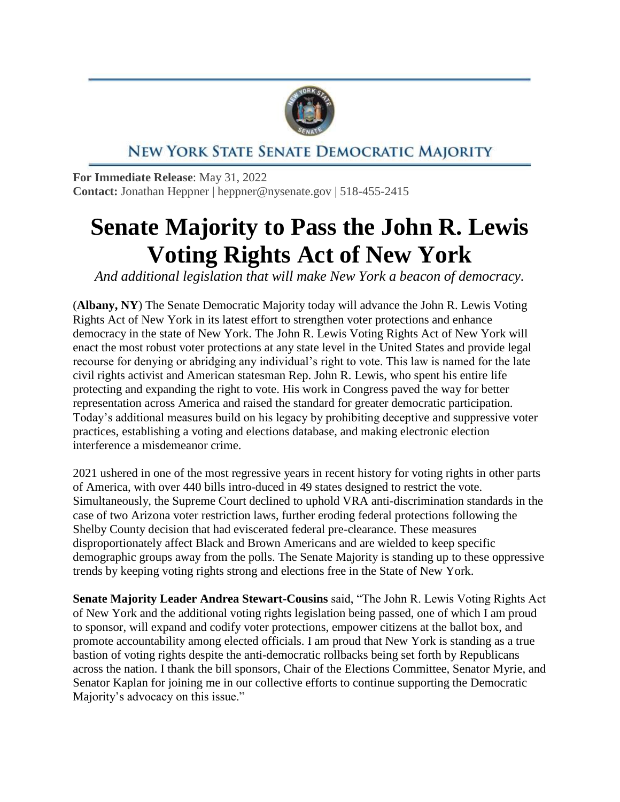

## NEW YORK STATE SENATE DEMOCRATIC MAJORITY

**For Immediate Release**: May 31, 2022 **Contact:** Jonathan Heppner | heppner@nysenate.gov | 518-455-2415

## **Senate Majority to Pass the John R. Lewis Voting Rights Act of New York**

*And additional legislation that will make New York a beacon of democracy.*

(**Albany, NY**) The Senate Democratic Majority today will advance the John R. Lewis Voting Rights Act of New York in its latest effort to strengthen voter protections and enhance democracy in the state of New York. The John R. Lewis Voting Rights Act of New York will enact the most robust voter protections at any state level in the United States and provide legal recourse for denying or abridging any individual's right to vote. This law is named for the late civil rights activist and American statesman Rep. John R. Lewis, who spent his entire life protecting and expanding the right to vote. His work in Congress paved the way for better representation across America and raised the standard for greater democratic participation. Today's additional measures build on his legacy by prohibiting deceptive and suppressive voter practices, establishing a voting and elections database, and making electronic election interference a misdemeanor crime.

2021 ushered in one of the most regressive years in recent history for voting rights in other parts of America, with over 440 bills intro-duced in 49 states designed to restrict the vote. Simultaneously, the Supreme Court declined to uphold VRA anti-discrimination standards in the case of two Arizona voter restriction laws, further eroding federal protections following the Shelby County decision that had eviscerated federal pre-clearance. These measures disproportionately affect Black and Brown Americans and are wielded to keep specific demographic groups away from the polls. The Senate Majority is standing up to these oppressive trends by keeping voting rights strong and elections free in the State of New York.

**Senate Majority Leader Andrea Stewart-Cousins** said, "The John R. Lewis Voting Rights Act of New York and the additional voting rights legislation being passed, one of which I am proud to sponsor, will expand and codify voter protections, empower citizens at the ballot box, and promote accountability among elected officials. I am proud that New York is standing as a true bastion of voting rights despite the anti-democratic rollbacks being set forth by Republicans across the nation. I thank the bill sponsors, Chair of the Elections Committee, Senator Myrie, and Senator Kaplan for joining me in our collective efforts to continue supporting the Democratic Majority's advocacy on this issue."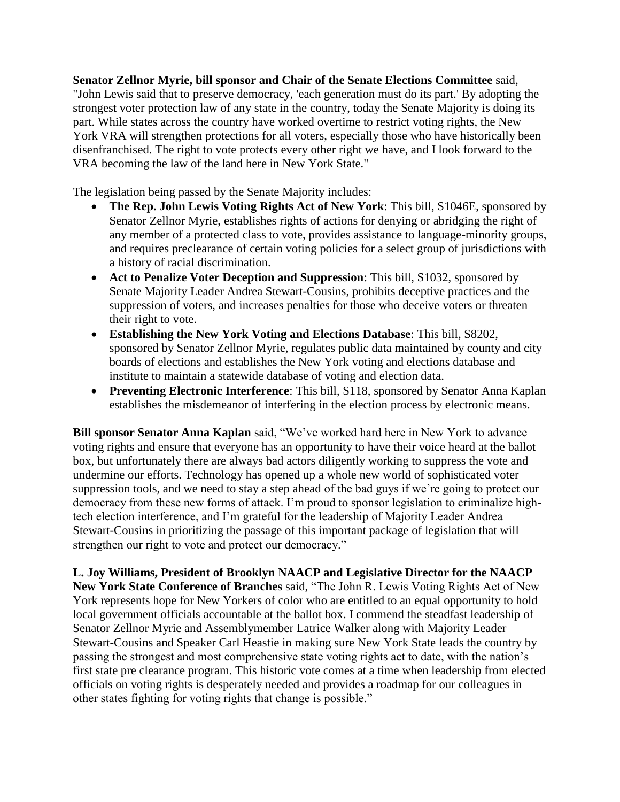**Senator Zellnor Myrie, bill sponsor and Chair of the Senate Elections Committee** said, "John Lewis said that to preserve democracy, 'each generation must do its part.' By adopting the strongest voter protection law of any state in the country, today the Senate Majority is doing its part. While states across the country have worked overtime to restrict voting rights, the New York VRA will strengthen protections for all voters, especially those who have historically been disenfranchised. The right to vote protects every other right we have, and I look forward to the VRA becoming the law of the land here in New York State."

The legislation being passed by the Senate Majority includes:

- **The Rep. John Lewis Voting Rights Act of New York**: This bill, S1046E, sponsored by Senator Zellnor Myrie, establishes rights of actions for denying or abridging the right of any member of a protected class to vote, provides assistance to language-minority groups, and requires preclearance of certain voting policies for a select group of jurisdictions with a history of racial discrimination.
- **Act to Penalize Voter Deception and Suppression**: This bill, S1032, sponsored by Senate Majority Leader Andrea Stewart-Cousins, prohibits deceptive practices and the suppression of voters, and increases penalties for those who deceive voters or threaten their right to vote.
- **Establishing the New York Voting and Elections Database**: This bill, S8202, sponsored by Senator Zellnor Myrie, regulates public data maintained by county and city boards of elections and establishes the New York voting and elections database and institute to maintain a statewide database of voting and election data.
- **Preventing Electronic Interference**: This bill, S118, sponsored by Senator Anna Kaplan establishes the misdemeanor of interfering in the election process by electronic means.

**Bill sponsor Senator Anna Kaplan** said, "We've worked hard here in New York to advance voting rights and ensure that everyone has an opportunity to have their voice heard at the ballot box, but unfortunately there are always bad actors diligently working to suppress the vote and undermine our efforts. Technology has opened up a whole new world of sophisticated voter suppression tools, and we need to stay a step ahead of the bad guys if we're going to protect our democracy from these new forms of attack. I'm proud to sponsor legislation to criminalize hightech election interference, and I'm grateful for the leadership of Majority Leader Andrea Stewart-Cousins in prioritizing the passage of this important package of legislation that will strengthen our right to vote and protect our democracy."

**L. Joy Williams, President of Brooklyn NAACP and Legislative Director for the NAACP New York State Conference of Branches** said, "The John R. Lewis Voting Rights Act of New York represents hope for New Yorkers of color who are entitled to an equal opportunity to hold local government officials accountable at the ballot box. I commend the steadfast leadership of Senator Zellnor Myrie and Assemblymember Latrice Walker along with Majority Leader Stewart-Cousins and Speaker Carl Heastie in making sure New York State leads the country by passing the strongest and most comprehensive state voting rights act to date, with the nation's first state pre clearance program. This historic vote comes at a time when leadership from elected officials on voting rights is desperately needed and provides a roadmap for our colleagues in other states fighting for voting rights that change is possible."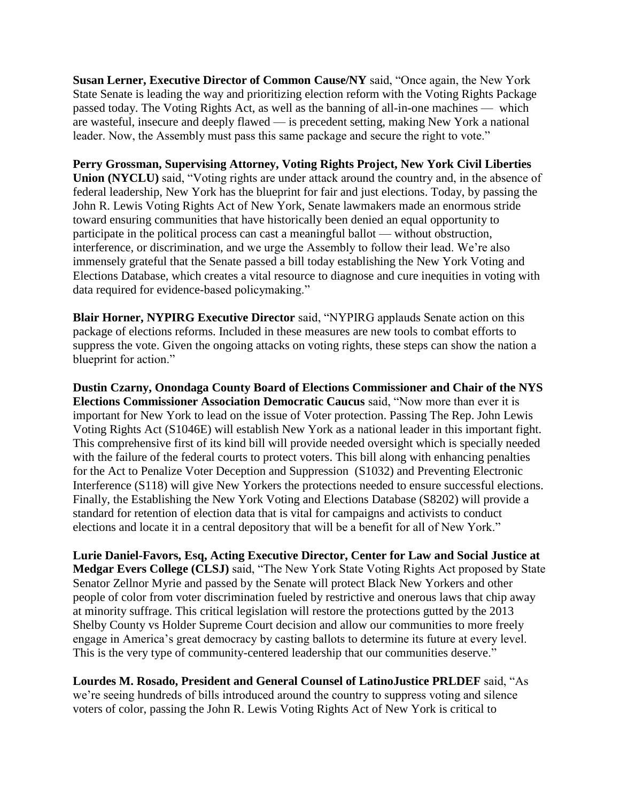**Susan Lerner, Executive Director of Common Cause/NY** said, "Once again, the New York State Senate is leading the way and prioritizing election reform with the Voting Rights Package passed today. The Voting Rights Act, as well as the banning of all-in-one machines — which are wasteful, insecure and deeply flawed — is precedent setting, making New York a national leader. Now, the Assembly must pass this same package and secure the right to vote."

**Perry Grossman, Supervising Attorney, Voting Rights Project, New York Civil Liberties Union (NYCLU)** said, "Voting rights are under attack around the country and, in the absence of federal leadership, New York has the blueprint for fair and just elections. Today, by passing the John R. Lewis Voting Rights Act of New York, Senate lawmakers made an enormous stride toward ensuring communities that have historically been denied an equal opportunity to participate in the political process can cast a meaningful ballot — without obstruction, interference, or discrimination, and we urge the Assembly to follow their lead. We're also immensely grateful that the Senate passed a bill today establishing the New York Voting and Elections Database, which creates a vital resource to diagnose and cure inequities in voting with data required for evidence-based policymaking."

**Blair Horner, NYPIRG Executive Director** said, "NYPIRG applauds Senate action on this package of elections reforms. Included in these measures are new tools to combat efforts to suppress the vote. Given the ongoing attacks on voting rights, these steps can show the nation a blueprint for action."

**Dustin Czarny, Onondaga County Board of Elections Commissioner and Chair of the NYS Elections Commissioner Association Democratic Caucus** said, "Now more than ever it is important for New York to lead on the issue of Voter protection. Passing The Rep. John Lewis Voting Rights Act (S1046E) will establish New York as a national leader in this important fight. This comprehensive first of its kind bill will provide needed oversight which is specially needed with the failure of the federal courts to protect voters. This bill along with enhancing penalties for the Act to Penalize Voter Deception and Suppression (S1032) and Preventing Electronic Interference (S118) will give New Yorkers the protections needed to ensure successful elections. Finally, the Establishing the New York Voting and Elections Database (S8202) will provide a standard for retention of election data that is vital for campaigns and activists to conduct elections and locate it in a central depository that will be a benefit for all of New York."

**Lurie Daniel-Favors, Esq, Acting Executive Director, Center for Law and Social Justice at Medgar Evers College (CLSJ)** said, "The New York State Voting Rights Act proposed by State Senator Zellnor Myrie and passed by the Senate will protect Black New Yorkers and other people of color from voter discrimination fueled by restrictive and onerous laws that chip away at minority suffrage. This critical legislation will restore the protections gutted by the 2013 Shelby County vs Holder Supreme Court decision and allow our communities to more freely engage in America's great democracy by casting ballots to determine its future at every level. This is the very type of community-centered leadership that our communities deserve."

**Lourdes M. Rosado, President and General Counsel of LatinoJustice PRLDEF** said, "As we're seeing hundreds of bills introduced around the country to suppress voting and silence voters of color, passing the John R. Lewis Voting Rights Act of New York is critical to